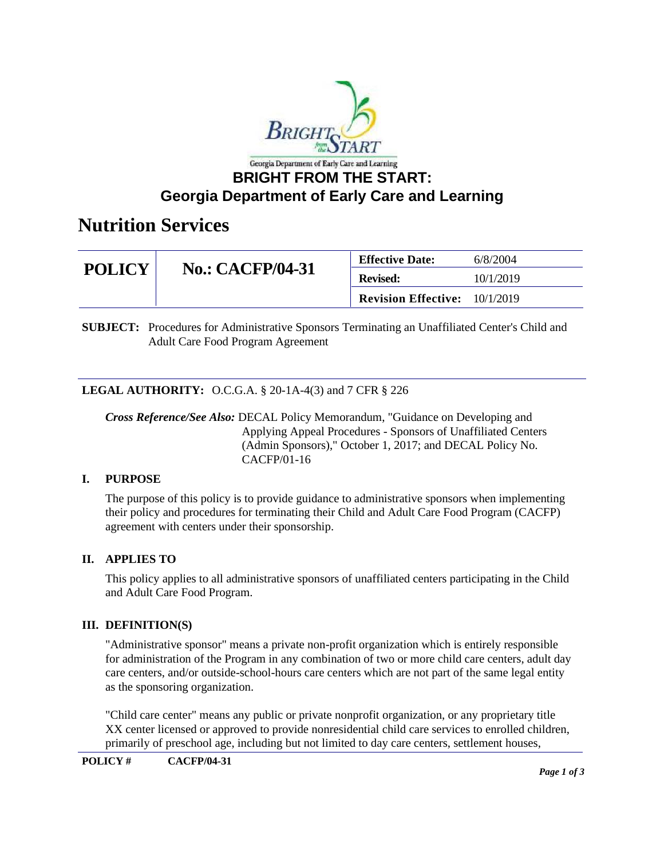

## **Georgia Department of Early Care and Learning**

## **Nutrition Services**

| <b>POLICY</b> | <b>No.: CACFP/04-31</b> | <b>Effective Date:</b>     | 6/8/2004  |
|---------------|-------------------------|----------------------------|-----------|
|               |                         | <b>Revised:</b>            | 10/1/2019 |
|               |                         | <b>Revision Effective:</b> | 10/1/2019 |

**SUBJECT:** Procedures for Administrative Sponsors Terminating an Unaffiliated Center's Child and Adult Care Food Program Agreement

### **LEGAL AUTHORITY:** O.C.G.A. § 20-1A-4(3) and 7 CFR § 226

*Cross Reference/See Also:* DECAL Policy Memorandum, "Guidance on Developing and Applying Appeal Procedures - Sponsors of Unaffiliated Centers (Admin Sponsors)," October 1, 2017; and DECAL Policy No. CACFP/01-16

### **I. PURPOSE**

The purpose of this policy is to provide guidance to administrative sponsors when implementing their policy and procedures for terminating their Child and Adult Care Food Program (CACFP) agreement with centers under their sponsorship.

### **II. APPLIES TO**

This policy applies to all administrative sponsors of unaffiliated centers participating in the Child and Adult Care Food Program.

### **III. DEFINITION(S)**

"Administrative sponsor" means a private non-profit organization which is entirely responsible for administration of the Program in any combination of two or more child care centers, adult day care centers, and/or outside-school-hours care centers which are not part of the same legal entity as the sponsoring organization.

"Child care center" means any public or private nonprofit organization, or any proprietary title XX center licensed or approved to provide nonresidential child care services to enrolled children, primarily of preschool age, including but not limited to day care centers, settlement houses,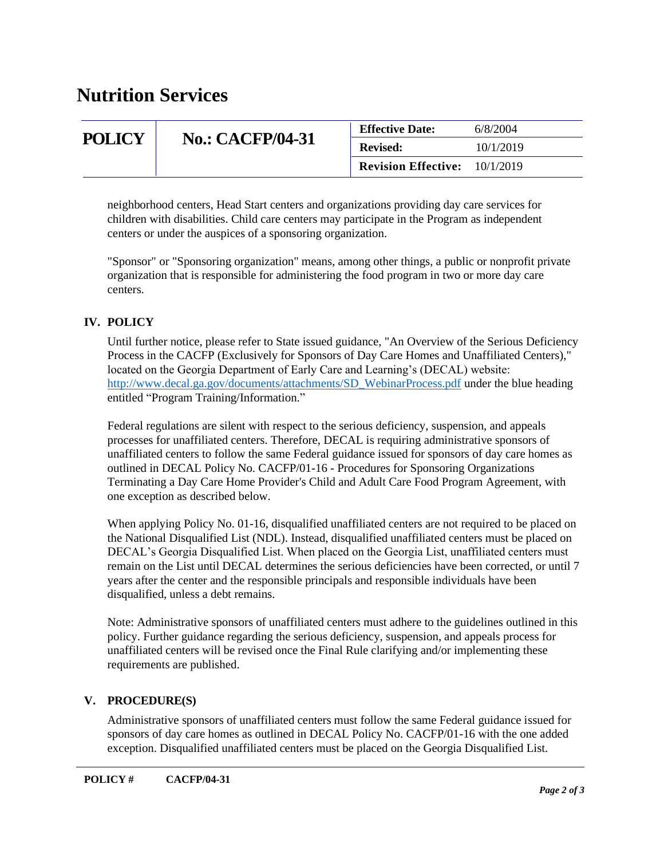## **Nutrition Services**

| <b>POLICY</b> | <b>No.: CACFP/04-31</b> | <b>Effective Date:</b>     | 6/8/2004  |
|---------------|-------------------------|----------------------------|-----------|
|               |                         | <b>Revised:</b>            | 10/1/2019 |
|               |                         | <b>Revision Effective:</b> | 10/1/2019 |

neighborhood centers, Head Start centers and organizations providing day care services for children with disabilities. Child care centers may participate in the Program as independent centers or under the auspices of a sponsoring organization.

"Sponsor" or "Sponsoring organization" means, among other things, a public or nonprofit private organization that is responsible for administering the food program in two or more day care centers.

## **IV. POLICY**

Until further notice, please refer to State issued guidance, "An Overview of the Serious Deficiency Process in the CACFP (Exclusively for Sponsors of Day Care Homes and Unaffiliated Centers)," located on the Georgia Department of Early Care and Learning's (DECAL) website: [http://www.decal.ga.gov/documents/attachments/SD\\_WebinarProcess.pdf](http://www.decal.ga.gov/documents/attachments/SD_WebinarProcess.pdf) under the blue heading entitled "Program Training/Information."

Federal regulations are silent with respect to the serious deficiency, suspension, and appeals processes for unaffiliated centers. Therefore, DECAL is requiring administrative sponsors of unaffiliated centers to follow the same Federal guidance issued for sponsors of day care homes as outlined in DECAL Policy No. CACFP/01-16 - Procedures for Sponsoring Organizations Terminating a Day Care Home Provider's Child and Adult Care Food Program Agreement, with one exception as described below.

When applying Policy No. 01-16, disqualified unaffiliated centers are not required to be placed on the National Disqualified List (NDL). Instead, disqualified unaffiliated centers must be placed on DECAL's Georgia Disqualified List. When placed on the Georgia List, unaffiliated centers must remain on the List until DECAL determines the serious deficiencies have been corrected, or until 7 years after the center and the responsible principals and responsible individuals have been disqualified, unless a debt remains.

Note: Administrative sponsors of unaffiliated centers must adhere to the guidelines outlined in this policy. Further guidance regarding the serious deficiency, suspension, and appeals process for unaffiliated centers will be revised once the Final Rule clarifying and/or implementing these requirements are published.

### **V. PROCEDURE(S)**

Administrative sponsors of unaffiliated centers must follow the same Federal guidance issued for sponsors of day care homes as outlined in DECAL Policy No. CACFP/01-16 with the one added exception. Disqualified unaffiliated centers must be placed on the Georgia Disqualified List.